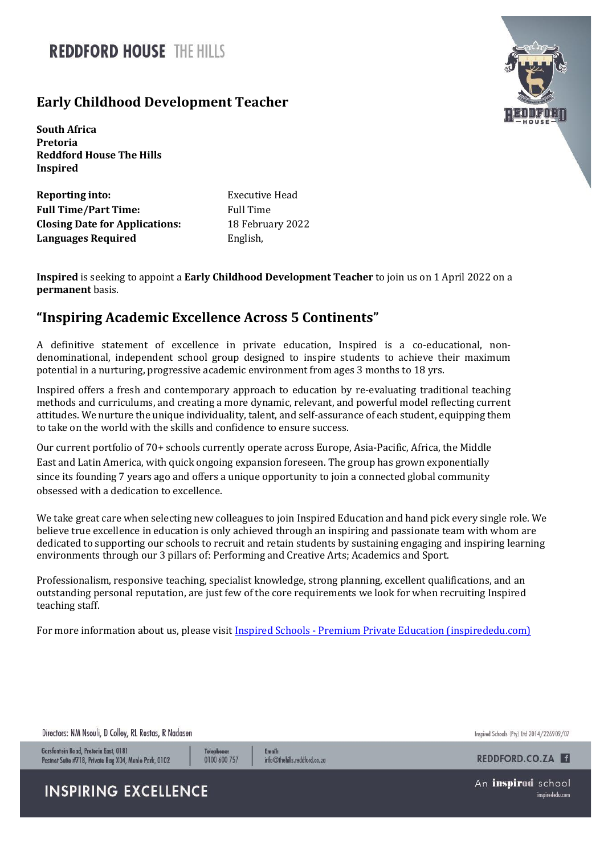## **REDDEORD HOUSE THE HILLS**

## **Early Childhood Development Teacher**

**South Africa Pretoria Reddford House The Hills Inspired**

**Reporting into:** Executive Head **Full Time/Part Time:** Full Time **Closing Date for Applications:** 18 February 2022 **Languages Required** English,

**Inspired** is seeking to appoint a **Early Childhood Development Teacher** to join us on 1 April 2022 on a **permanent** basis.

## **"Inspiring Academic Excellence Across 5 Continents"**

A definitive statement of excellence in private education, Inspired is a co-educational, nondenominational, independent school group designed to inspire students to achieve their maximum potential in a nurturing, progressive academic environment from ages 3 months to 18 yrs.

Inspired offers a fresh and contemporary approach to education by re-evaluating traditional teaching methods and curriculums, and creating a more dynamic, relevant, and powerful model reflecting current attitudes. We nurture the unique individuality, talent, and self-assurance of each student, equipping them to take on the world with the skills and confidence to ensure success.

Our current portfolio of 70+ schools currently operate across Europe, Asia-Pacific, Africa, the Middle East and Latin America, with quick ongoing expansion foreseen. The group has grown exponentially since its founding 7 years ago and offers a unique opportunity to join a connected global community obsessed with a dedication to excellence.

We take great care when selecting new colleagues to join Inspired Education and hand pick every single role. We believe true excellence in education is only achieved through an inspiring and passionate team with whom are dedicated to supporting our schools to recruit and retain students by sustaining engaging and inspiring learning environments through our 3 pillars of: Performing and Creative Arts; Academics and Sport.

Professionalism, responsive teaching, specialist knowledge, strong planning, excellent qualifications, and an outstanding personal reputation, are just few of the core requirements we look for when recruiting Inspired teaching staff.

For more information about us, please visit Inspired Schools - [Premium Private Education \(inspirededu.com\)](https://inspirededu.com/our-schools)



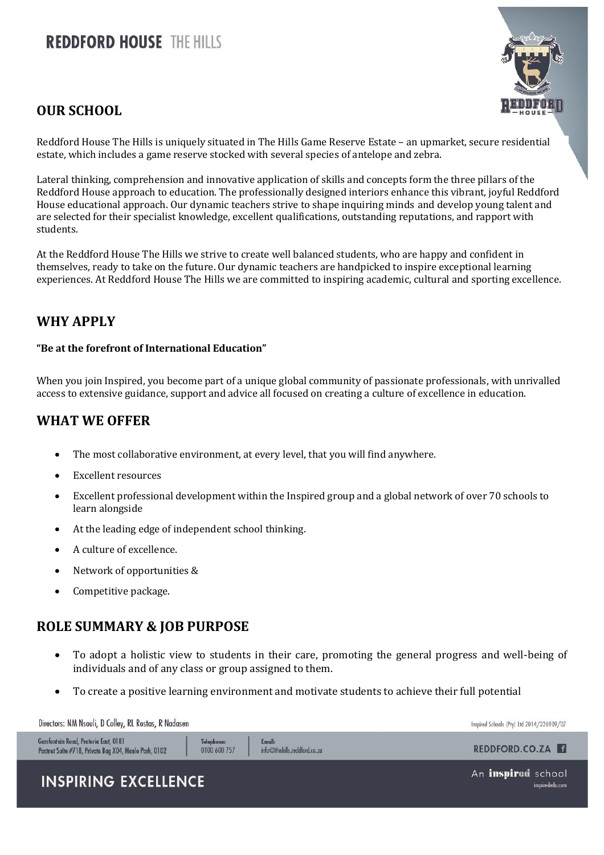# **REDDFORD HOUSE THE HILLS**

## **OUR SCHOOL**



Reddford House The Hills is uniquely situated in The Hills Game Reserve Estate – an upmarket, secure residential estate, which includes a game reserve stocked with several species of antelope and zebra.

Lateral thinking, comprehension and innovative application of skills and concepts form the three pillars of the Reddford House approach to education. The professionally designed interiors enhance this vibrant, joyful Reddford House educational approach. Our dynamic teachers strive to shape inquiring minds and develop young talent and are selected for their specialist knowledge, excellent qualifications, outstanding reputations, and rapport with students.

At the Reddford House The Hills we strive to create well balanced students, who are happy and confident in themselves, ready to take on the future. Our dynamic teachers are handpicked to inspire exceptional learning experiences. At Reddford House The Hills we are committed to inspiring academic, cultural and sporting excellence.

## **WHY APPLY**

#### **"Be at the forefront of International Education"**

When you join Inspired, you become part of a unique global community of passionate professionals, with unrivalled access to extensive guidance, support and advice all focused on creating a culture of excellence in education.

#### **WHAT WE OFFER**

- The most collaborative environment, at every level, that you will find anywhere.
- Excellent resources
- Excellent professional development within the Inspired group and a global network of over 70 schools to learn alongside
- At the leading edge of independent school thinking.
- A culture of excellence.
- Network of opportunities &
- Competitive package.

#### **ROLE SUMMARY & JOB PURPOSE**

- To adopt a holistic view to students in their care, promoting the general progress and well-being of individuals and of any class or group assigned to them.
- To create a positive learning environment and motivate students to achieve their full potential

| Directors: NM Nsouli, D Colley, RL Rostas, R Nadasen                                                                         |                                        | Inspired Schools (Pty) Ltd 2014/226909/07 |
|------------------------------------------------------------------------------------------------------------------------------|----------------------------------------|-------------------------------------------|
| Garsfontein Road, Pretoria East, 0181<br>Telephone:<br>0100 600 757<br>Postnet Suite #718, Private Bag X04, Menlo Park, 0102 | Email:<br>info@thehills.reddford.co.za | REDDFORD.CO.ZA                            |
| <b>INSPIRING EXCELLENCE</b>                                                                                                  |                                        | An inspired school<br>inspirededu.com     |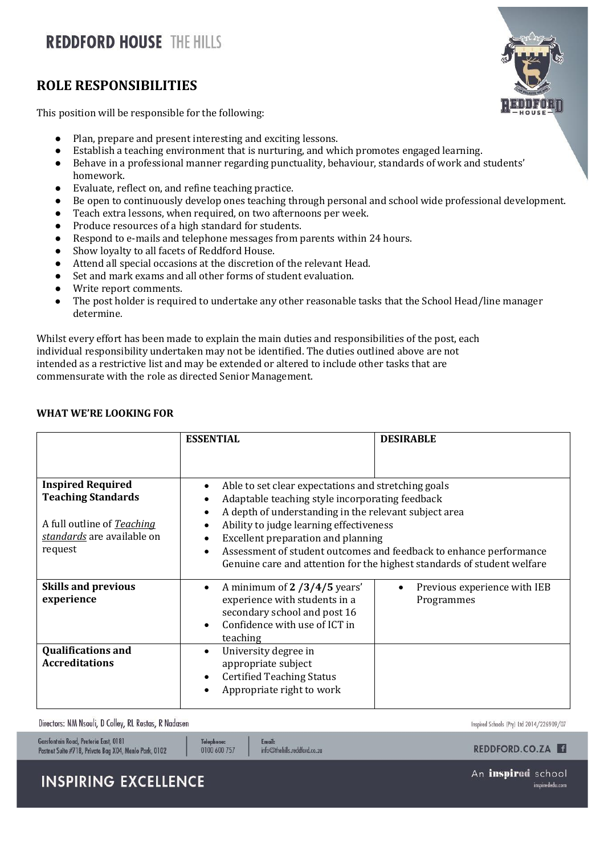# **REDDFORD HOUSE THE HILLS**

### **ROLE RESPONSIBILITIES**

This position will be responsible for the following:

- Plan, prepare and present interesting and exciting lessons.
- Establish a teaching environment that is nurturing, and which promotes engaged learning.
- Behave in a professional manner regarding punctuality, behaviour, standards of work and students' homework.
- Evaluate, reflect on, and refine teaching practice.
- Be open to continuously develop ones teaching through personal and school wide professional development.
- Teach extra lessons, when required, on two afternoons per week.
- Produce resources of a high standard for students.
- Respond to e-mails and telephone messages from parents within 24 hours.
- Show loyalty to all facets of Reddford House.
- Attend all special occasions at the discretion of the relevant Head.
- Set and mark exams and all other forms of student evaluation.
- Write report comments.
- The post holder is required to undertake any other reasonable tasks that the School Head/line manager determine.

Whilst every effort has been made to explain the main duties and responsibilities of the post, each individual responsibility undertaken may not be identified. The duties outlined above are not intended as a restrictive list and may be extended or altered to include other tasks that are commensurate with the role as directed Senior Management.

#### **WHAT WE'RE LOOKING FOR**

|                                                                                                                              | <b>ESSENTIAL</b>                                                                                                                                                                                                                                                                                                                                                                                  | <b>DESIRABLE</b>                           |
|------------------------------------------------------------------------------------------------------------------------------|---------------------------------------------------------------------------------------------------------------------------------------------------------------------------------------------------------------------------------------------------------------------------------------------------------------------------------------------------------------------------------------------------|--------------------------------------------|
| <b>Inspired Required</b><br><b>Teaching Standards</b><br>A full outline of Teaching<br>standards are available on<br>request | Able to set clear expectations and stretching goals<br>Adaptable teaching style incorporating feedback<br>A depth of understanding in the relevant subject area<br>Ability to judge learning effectiveness<br>Excellent preparation and planning<br>Assessment of student outcomes and feedback to enhance performance<br>Genuine care and attention for the highest standards of student welfare |                                            |
| <b>Skills and previous</b><br>experience                                                                                     | A minimum of 2 /3/4/5 years'<br>experience with students in a<br>secondary school and post 16<br>Confidence with use of ICT in<br>teaching                                                                                                                                                                                                                                                        | Previous experience with IEB<br>Programmes |
| <b>Qualifications and</b><br><b>Accreditations</b>                                                                           | University degree in<br>appropriate subject<br><b>Certified Teaching Status</b><br>Appropriate right to work                                                                                                                                                                                                                                                                                      |                                            |

Directors: NM Nsouli, D Colley, RL Rostas, R Nadasen

Inspired Schools (Pty) Ltd 2014/226909/07

| Garstontein Koad, Pretoria East, 0181                 | Telephone:   | <b>Email:</b>                   | REDDFORD.CO.ZA                               |
|-------------------------------------------------------|--------------|---------------------------------|----------------------------------------------|
| Postnet Suite #718, Private Bag X04, Menlo Park, 0102 | 0100 600 757 | $info@$ thehills.reddford.co.za |                                              |
| <b>INSPIRING EXCELLENCE</b>                           |              |                                 | An <b>inspired</b> school<br>inspirededu.com |